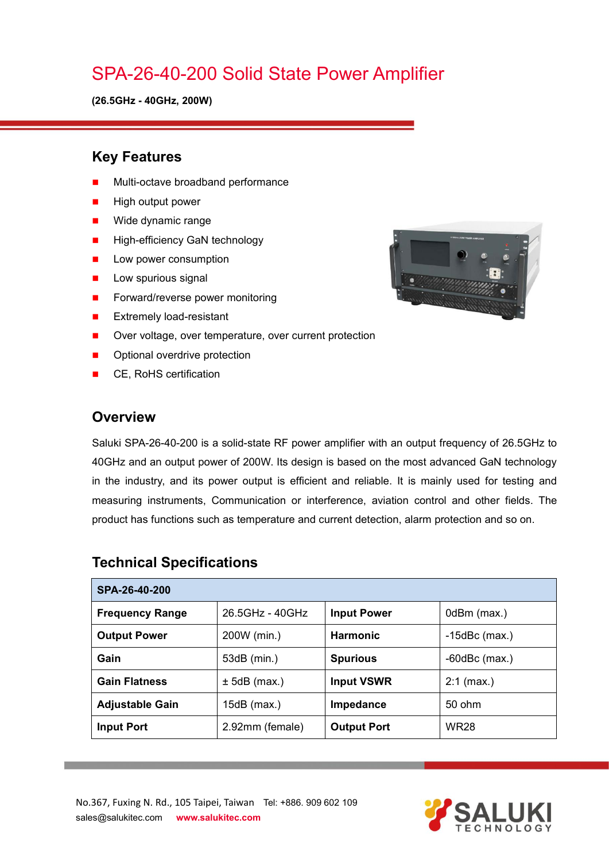## SPA-26-40-200 Solid State Power Amplifier

**(26.5GHz - 40GHz, 200W)**

#### **Key Features**

- Multi-octave broadband performance
- High output power
- **Nide dynamic range**
- **High-efficiency GaN technology**
- **Low power consumption**
- $\blacksquare$  Low spurious signal
- Forward/reverse power monitoring
- **EXtremely load-resistant**
- Over voltage, over temperature, over current protection
- Optional overdrive protection
- CE, RoHS certification

#### **Overview**

Saluki SPA-26-40-200 is a solid-state RF power amplifier with an output frequency of 26.5GHz to 40GHz and an output power of 200W. Its design isbased on the most advanced GaN technology in the industry, and its power output is efficient and reliable. It is mainly used for testing and measuring instruments, Communication or interference, aviation control and other fields. The product has functions such as temperature and current detection, alarm protection and so on.

| SPA-26-40-200          |                 |                    |                    |  |
|------------------------|-----------------|--------------------|--------------------|--|
| <b>Frequency Range</b> | 26.5GHz - 40GHz | <b>Input Power</b> | 0dBm (max.)        |  |
| <b>Output Power</b>    | 200W (min.)     | <b>Harmonic</b>    | $-15$ dBc (max.)   |  |
| Gain                   | 53dB (min.)     | <b>Spurious</b>    | $-60$ dBc $(max.)$ |  |
| <b>Gain Flatness</b>   | $± 5dB$ (max.)  | <b>Input VSWR</b>  | $2:1$ (max.)       |  |
| <b>Adjustable Gain</b> | $15dB$ (max.)   | Impedance          | 50 ohm             |  |
| <b>Input Port</b>      | 2.92mm (female) | <b>Output Port</b> | <b>WR28</b>        |  |

#### **Technical Specifications**